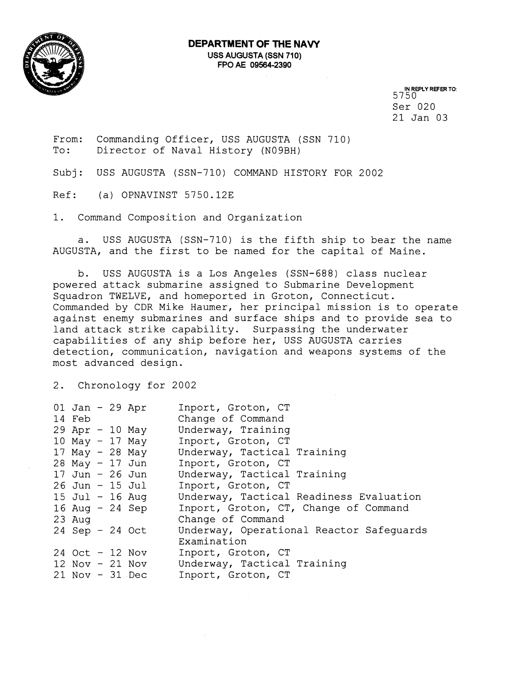

**IN REPLY REFER TO:**  5750 Ser 020 21 Jan 03

From: Commanding Officer, USS AUGUSTA (SSN 710) To: Director of Naval History (N09BH)

Subj: USS AUGUSTA (SSN-710) COMMAND HISTORY FOR 2002

Ref: (a) OPNAVINST 5750.12E

1. Command Composition and Organization

a. USS AUGUSTA (SSN-710) is the fifth ship to bear the name AUGUSTA, and the first to be named for the capital of Maine.

b. USS AUGUSTA is a Los Angeles (SSN-688) class nuclear powered attack submarine assigned to Submarine Development Squadron TWELVE, and homeported in Groton, Connecticut. Commanded by CDR Mike Haumer, her principal mission is to operate against enemy submarines and surface ships and to provide sea to land attack strike capability. Surpassing the underwater capabilities of any ship before her, USS AUGUSTA carries detection, communication, navigation and weapons systems of the most advanced design.

2. Chronology for 2002

| $01$ Jan - 29 Apr<br>14 Feb<br>$29$ Apr - 10 May |  |                 | Inport, Groton, CT<br>Change of Command<br>Underway, Training |
|--------------------------------------------------|--|-----------------|---------------------------------------------------------------|
| 10 May $-$ 17 May                                |  |                 | Inport, Groton, CT                                            |
| 17 May $-$ 28 May                                |  |                 | Underway, Tactical Training                                   |
| $28$ May - 17 Jun                                |  |                 | Inport, Groton, CT                                            |
| $17$ Jun - 26 Jun                                |  |                 | Underway, Tactical Training                                   |
| $26$ Jun - $15$ Jul                              |  |                 | Inport, Groton, CT                                            |
| $15$ Jul - 16 Aug                                |  |                 | Underway, Tactical Readiness Evaluation                       |
|                                                  |  | 16 Aug - 24 Sep | Inport, Groton, CT, Change of Command                         |
| $23$ Aug                                         |  |                 | Change of Command                                             |
| $24$ Sep - 24 Oct                                |  |                 | Underway, Operational Reactor Safequards                      |
|                                                  |  |                 | Examination                                                   |
| $24$ Oct - 12 Nov                                |  |                 | Inport, Groton, CT                                            |
| $12$ Nov - $21$ Nov                              |  |                 | Underway, Tactical Training                                   |
| $21$ Nov - 31 Dec                                |  |                 | Inport, Groton, CT                                            |